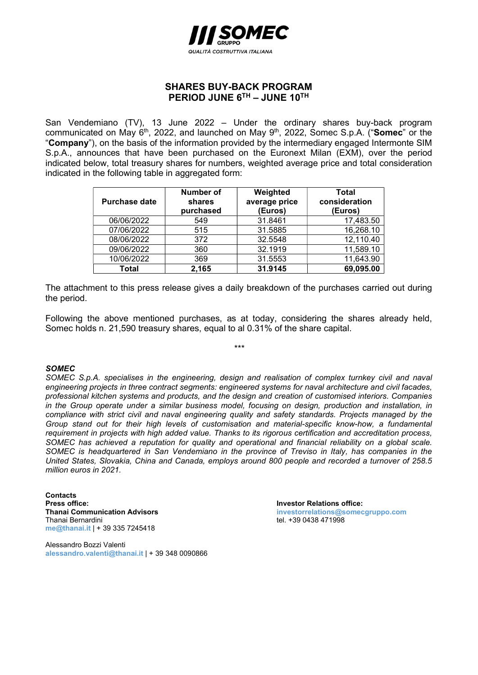

## SHARES BUY-BACK PROGRAM PERIOD JUNE 6TH - JUNE 10TH

San Vendemiano (TV), 13 June 2022 – Under the ordinary shares buy-back program communicated on May 6<sup>th</sup>, 2022, and launched on May 9<sup>th</sup>, 2022, Somec S.p.A. ("Somec" or the "Company"), on the basis of the information provided by the intermediary engaged Intermonte SIM S.p.A., announces that have been purchased on the Euronext Milan (EXM), over the period indicated below, total treasury shares for numbers, weighted average price and total consideration indicated in the following table in aggregated form:

| <b>Purchase date</b> | Number of<br>shares<br>purchased | Weighted<br>average price<br>(Euros) | Total<br>consideration<br>(Euros) |
|----------------------|----------------------------------|--------------------------------------|-----------------------------------|
| 06/06/2022           | 549                              | 31.8461                              | 17,483.50                         |
| 07/06/2022           | 515                              | 31.5885                              | 16,268.10                         |
| 08/06/2022           | 372                              | 32.5548                              | 12,110.40                         |
| 09/06/2022           | 360                              | 32.1919                              | 11,589.10                         |
| 10/06/2022           | 369                              | 31.5553                              | 11,643.90                         |
| Total                | 2,165                            | 31.9145                              | 69,095.00                         |

The attachment to this press release gives a daily breakdown of the purchases carried out during the period.

Following the above mentioned purchases, as at today, considering the shares already held, Somec holds n. 21,590 treasury shares, equal to al 0.31% of the share capital.

\*\*\*

## SOMEC

SOMEC S.p.A. specialises in the engineering, design and realisation of complex turnkey civil and naval engineering projects in three contract segments: engineered systems for naval architecture and civil facades, professional kitchen systems and products, and the design and creation of customised interiors. Companies in the Group operate under a similar business model, focusing on design, production and installation, in compliance with strict civil and naval engineering quality and safety standards. Projects managed by the Group stand out for their high levels of customisation and material-specific know-how, a fundamental requirement in projects with high added value. Thanks to its rigorous certification and accreditation process, SOMEC has achieved a reputation for quality and operational and financial reliability on a global scale. SOMEC is headquartered in San Vendemiano in the province of Treviso in Italy, has companies in the United States, Slovakia, China and Canada, employs around 800 people and recorded a turnover of 258.5 million euros in 2021.

**Contacts** Press office:<br>
Thanai Communication Advisors<br>
Thanai Communication Advisors<br>
Thanai Communication Advisors Thanai Bernardini **tel. +39 0438 471998** me@thanai.it | + 39 335 7245418

Alessandro Bozzi Valenti alessandro.valenti@thanai.it | + 39 348 0090866 investorrelations@somecgruppo.com